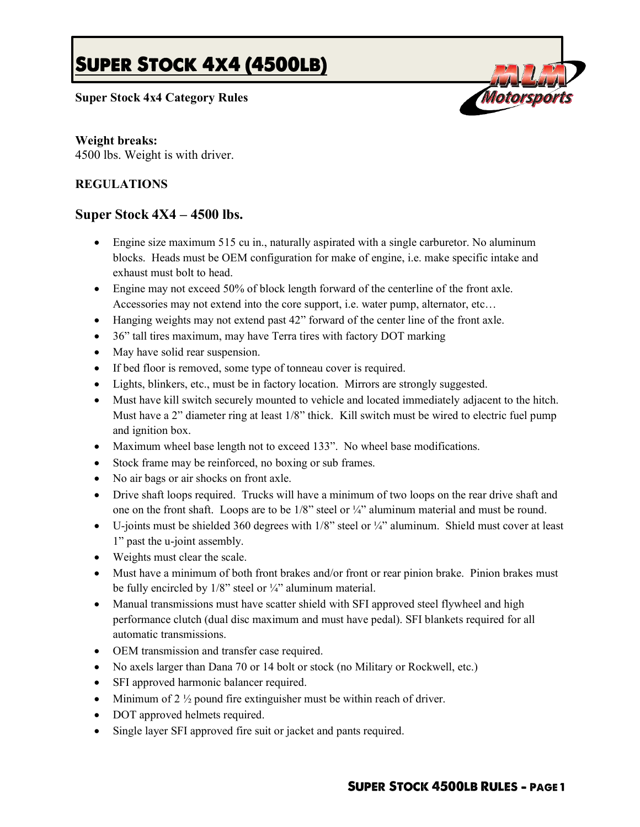# **SUPER STOCK 4X4 (4500LB)**

## **Super Stock 4x4 Category Rules**



oitorsol

#### **Weight breaks:**

4500 lbs. Weight is with driver.

## **REGULATIONS**

# **Super Stock 4X4 – 4500 lbs.**

- Engine size maximum 515 cu in., naturally aspirated with a single carburetor. No aluminum blocks. Heads must be OEM configuration for make of engine, i.e. make specific intake and exhaust must bolt to head.
- Engine may not exceed 50% of block length forward of the centerline of the front axle. Accessories may not extend into the core support, i.e. water pump, alternator, etc…
- Hanging weights may not extend past 42" forward of the center line of the front axle.
- 36" tall tires maximum, may have Terra tires with factory DOT marking
- May have solid rear suspension.
- If bed floor is removed, some type of tonneau cover is required.
- Lights, blinkers, etc., must be in factory location. Mirrors are strongly suggested.
- Must have kill switch securely mounted to vehicle and located immediately adjacent to the hitch. Must have a 2" diameter ring at least 1/8" thick. Kill switch must be wired to electric fuel pump and ignition box.
- Maximum wheel base length not to exceed 133". No wheel base modifications.
- Stock frame may be reinforced, no boxing or sub frames.
- No air bags or air shocks on front axle.
- Drive shaft loops required. Trucks will have a minimum of two loops on the rear drive shaft and one on the front shaft. Loops are to be  $1/8$ " steel or  $\frac{1}{4}$ " aluminum material and must be round.
- $\bullet$  U-joints must be shielded 360 degrees with 1/8" steel or  $\frac{1}{4}$ " aluminum. Shield must cover at least 1" past the u-joint assembly.
- Weights must clear the scale.
- Must have a minimum of both front brakes and/or front or rear pinion brake. Pinion brakes must be fully encircled by  $1/8$ " steel or  $\frac{1}{4}$ " aluminum material.
- Manual transmissions must have scatter shield with SFI approved steel flywheel and high performance clutch (dual disc maximum and must have pedal). SFI blankets required for all automatic transmissions.
- OEM transmission and transfer case required.
- No axels larger than Dana 70 or 14 bolt or stock (no Military or Rockwell, etc.)
- SFI approved harmonic balancer required.
- Minimum of 2  $\frac{1}{2}$  pound fire extinguisher must be within reach of driver.
- DOT approved helmets required.
- Single layer SFI approved fire suit or jacket and pants required.